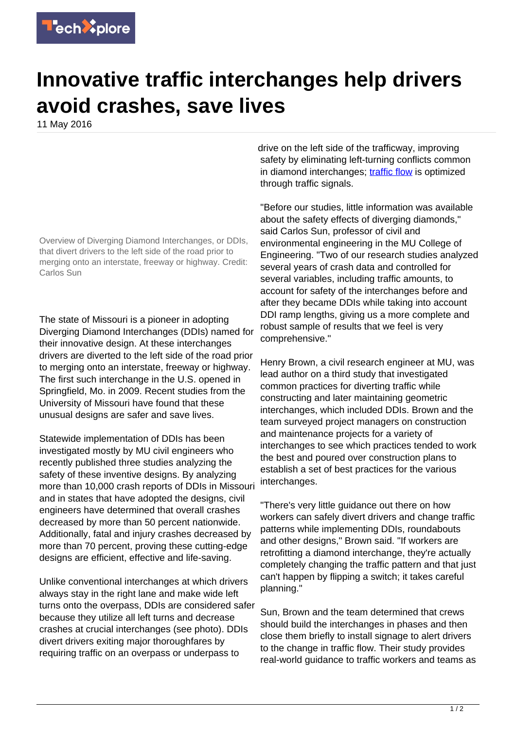

## **Innovative traffic interchanges help drivers avoid crashes, save lives**

11 May 2016



Overview of Diverging Diamond Interchanges, or DDIs, that divert drivers to the left side of the road prior to merging onto an interstate, freeway or highway. Credit: Carlos Sun

The state of Missouri is a pioneer in adopting Diverging Diamond Interchanges (DDIs) named for their innovative design. At these interchanges drivers are diverted to the left side of the road prior to merging onto an interstate, freeway or highway. The first such interchange in the U.S. opened in Springfield, Mo. in 2009. Recent studies from the University of Missouri have found that these unusual designs are safer and save lives.

Statewide implementation of DDIs has been investigated mostly by MU civil engineers who recently published three studies analyzing the safety of these inventive designs. By analyzing more than 10,000 crash reports of DDIs in Missouri and in states that have adopted the designs, civil engineers have determined that overall crashes decreased by more than 50 percent nationwide. Additionally, fatal and injury crashes decreased by more than 70 percent, proving these cutting-edge designs are efficient, effective and life-saving.

Unlike conventional interchanges at which drivers always stay in the right lane and make wide left turns onto the overpass, DDIs are considered safer because they utilize all left turns and decrease crashes at crucial interchanges (see photo). DDIs divert drivers exiting major thoroughfares by requiring traffic on an overpass or underpass to

drive on the left side of the trafficway, improving safety by eliminating left-turning conflicts common in diamond interchanges; [traffic flow](https://techxplore.com/tags/traffic+flow/) is optimized through traffic signals.

"Before our studies, little information was available about the safety effects of diverging diamonds," said Carlos Sun, professor of civil and environmental engineering in the MU College of Engineering. "Two of our research studies analyzed several years of crash data and controlled for several variables, including traffic amounts, to account for safety of the interchanges before and after they became DDIs while taking into account DDI ramp lengths, giving us a more complete and robust sample of results that we feel is very comprehensive."

Henry Brown, a civil research engineer at MU, was lead author on a third study that investigated common practices for diverting traffic while constructing and later maintaining geometric interchanges, which included DDIs. Brown and the team surveyed project managers on construction and maintenance projects for a variety of interchanges to see which practices tended to work the best and poured over construction plans to establish a set of best practices for the various interchanges.

"There's very little guidance out there on how workers can safely divert drivers and change traffic patterns while implementing DDIs, roundabouts and other designs," Brown said. "If workers are retrofitting a diamond interchange, they're actually completely changing the traffic pattern and that just can't happen by flipping a switch; it takes careful planning."

Sun, Brown and the team determined that crews should build the interchanges in phases and then close them briefly to install signage to alert drivers to the change in traffic flow. Their study provides real-world guidance to traffic workers and teams as